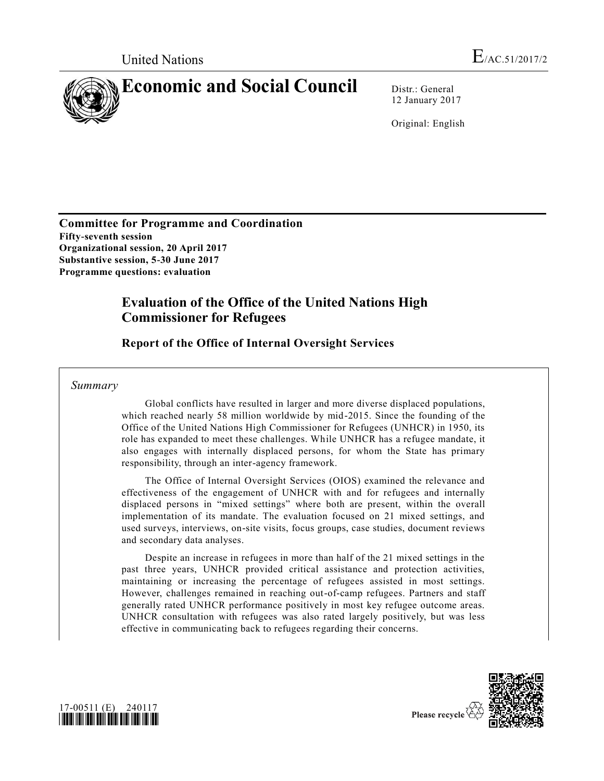

12 January 2017

Original: English

**Committee for Programme and Coordination Fifty-seventh session Organizational session, 20 April 2017 Substantive session, 5-30 June 2017 Programme questions: evaluation**

# **Evaluation of the Office of the United Nations High Commissioner for Refugees**

**Report of the Office of Internal Oversight Services**

*Summary*

Global conflicts have resulted in larger and more diverse displaced populations, which reached nearly 58 million worldwide by mid-2015. Since the founding of the Office of the United Nations High Commissioner for Refugees (UNHCR) in 1950, its role has expanded to meet these challenges. While UNHCR has a refugee mandate, it also engages with internally displaced persons, for whom the State has primary responsibility, through an inter-agency framework.

The Office of Internal Oversight Services (OIOS) examined the relevance and effectiveness of the engagement of UNHCR with and for refugees and internally displaced persons in "mixed settings" where both are present, within the overall implementation of its mandate. The evaluation focused on 21 mixed settings, and used surveys, interviews, on-site visits, focus groups, case studies, document reviews and secondary data analyses.

Despite an increase in refugees in more than half of the 21 mixed settings in the past three years, UNHCR provided critical assistance and protection activities, maintaining or increasing the percentage of refugees assisted in most settings. However, challenges remained in reaching out-of-camp refugees. Partners and staff generally rated UNHCR performance positively in most key refugee outcome areas. UNHCR consultation with refugees was also rated largely positively, but was less effective in communicating back to refugees regarding their concerns.



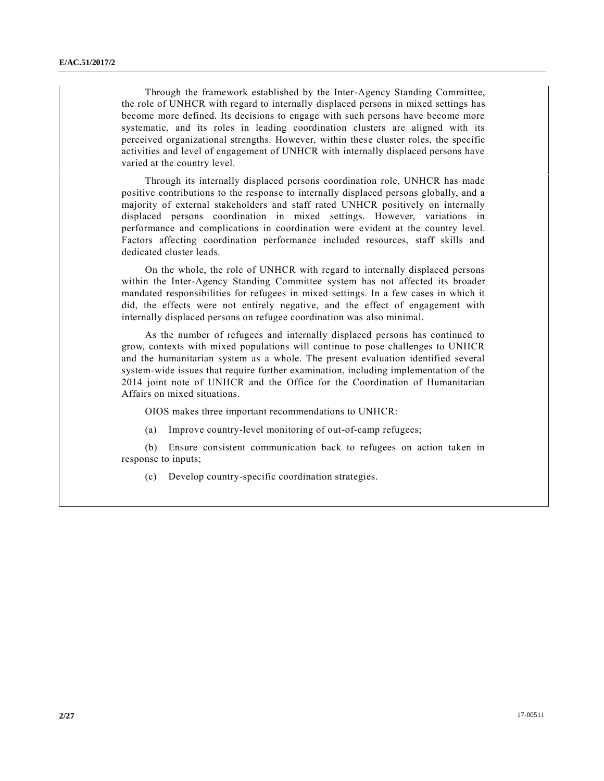Through the framework established by the Inter-Agency Standing Committee, the role of UNHCR with regard to internally displaced persons in mixed settings has become more defined. Its decisions to engage with such persons have become more systematic, and its roles in leading coordination clusters are aligned with its perceived organizational strengths. However, within these cluster roles, the specific activities and level of engagement of UNHCR with internally displaced persons have varied at the country level.

Through its internally displaced persons coordination role, UNHCR has made positive contributions to the response to internally displaced persons globally, and a majority of external stakeholders and staff rated UNHCR positively on internally displaced persons coordination in mixed settings. However, variations in performance and complications in coordination were evident at the country level. Factors affecting coordination performance included resources, staff skills and dedicated cluster leads.

On the whole, the role of UNHCR with regard to internally displaced persons within the Inter-Agency Standing Committee system has not affected its broader mandated responsibilities for refugees in mixed settings. In a few cases in which it did, the effects were not entirely negative, and the effect of engagement with internally displaced persons on refugee coordination was also minimal.

As the number of refugees and internally displaced persons has continued to grow, contexts with mixed populations will continue to pose challenges to UNHCR and the humanitarian system as a whole. The present evaluation identified several system-wide issues that require further examination, including implementation of the 2014 joint note of UNHCR and the Office for the Coordination of Humanitarian Affairs on mixed situations.

OIOS makes three important recommendations to UNHCR:

(a) Improve country-level monitoring of out-of-camp refugees;

(b) Ensure consistent communication back to refugees on action taken in response to inputs;

(c) Develop country-specific coordination strategies.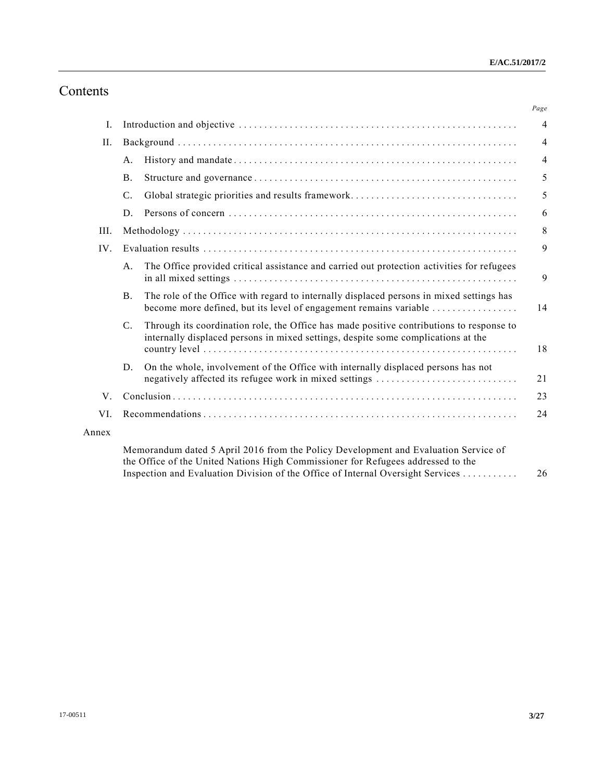# Contents

|       |                                                                                                                                                                                                                                                                                                                          | Page           |  |
|-------|--------------------------------------------------------------------------------------------------------------------------------------------------------------------------------------------------------------------------------------------------------------------------------------------------------------------------|----------------|--|
| Ι.    |                                                                                                                                                                                                                                                                                                                          | $\overline{4}$ |  |
| II.   |                                                                                                                                                                                                                                                                                                                          |                |  |
|       | A.                                                                                                                                                                                                                                                                                                                       | $\overline{4}$ |  |
|       | <b>B.</b>                                                                                                                                                                                                                                                                                                                | 5              |  |
|       | $\mathcal{C}$ .                                                                                                                                                                                                                                                                                                          | 5              |  |
|       | D.                                                                                                                                                                                                                                                                                                                       | 6              |  |
| III.  |                                                                                                                                                                                                                                                                                                                          | 8              |  |
| IV.   |                                                                                                                                                                                                                                                                                                                          |                |  |
|       | The Office provided critical assistance and carried out protection activities for refugees<br>A <sub>1</sub>                                                                                                                                                                                                             | 9              |  |
|       | The role of the Office with regard to internally displaced persons in mixed settings has<br>B.<br>become more defined, but its level of engagement remains variable                                                                                                                                                      | 14             |  |
|       | Through its coordination role, the Office has made positive contributions to response to<br>$C_{\cdot}$<br>internally displaced persons in mixed settings, despite some complications at the                                                                                                                             | 18             |  |
|       | On the whole, involvement of the Office with internally displaced persons has not<br>D.<br>negatively affected its refugee work in mixed settings                                                                                                                                                                        | 21             |  |
| V.    |                                                                                                                                                                                                                                                                                                                          |                |  |
| VI.   |                                                                                                                                                                                                                                                                                                                          |                |  |
| Annex |                                                                                                                                                                                                                                                                                                                          |                |  |
|       | Memorandum dated 5 April 2016 from the Policy Development and Evaluation Service of<br>$\alpha$ d in the state of the state of the state of the state of the state of the state of the state of the state of the state of the state of the state of the state of the state of the state of the state of the state of the |                |  |

the Office of the United Nations High Commissioner for Refugees addressed to the Inspection and Evaluation Division of the Office of Internal Oversight Services ........... 26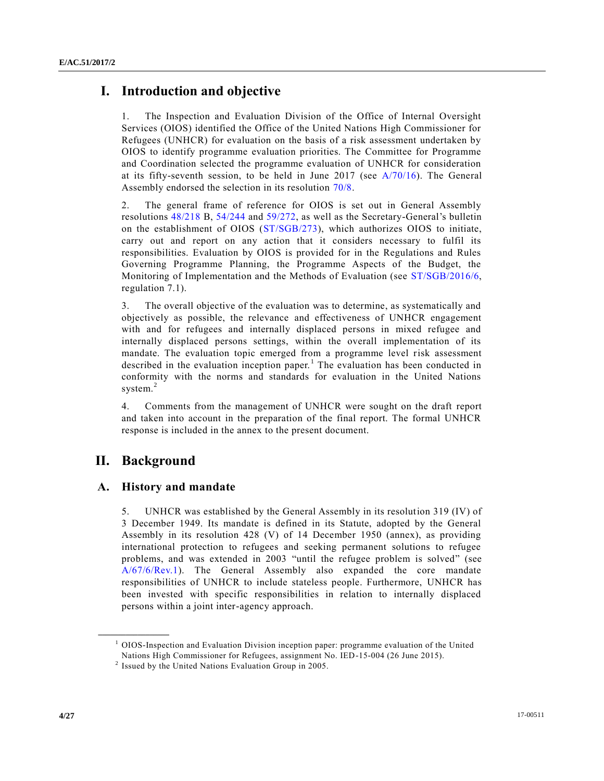# **I. Introduction and objective**

1. The Inspection and Evaluation Division of the Office of Internal Oversight Services (OIOS) identified the Office of the United Nations High Commissioner for Refugees (UNHCR) for evaluation on the basis of a risk assessment undertaken by OIOS to identify programme evaluation priorities. The Committee for Programme and Coordination selected the programme evaluation of UNHCR for consideration at its fifty-seventh session, to be held in June 2017 (see [A/70/16\)](http://undocs.org/A/70/16). The General Assembly endorsed the selection in its resolution [70/8.](http://undocs.org/A/RES/70/8)

2. The general frame of reference for OIOS is set out in General Assembly resolutions [48/218](http://undocs.org/A/RES/48/218) B, [54/244](http://undocs.org/A/RES/54/244) and [59/272,](http://undocs.org/A/RES/59/272) as well as the Secretary-General's bulletin on the establishment of OIOS [\(ST/SGB/273\)](http://undocs.org/ST/SGB/273), which authorizes OIOS to initiate, carry out and report on any action that it considers necessary to fulfil its responsibilities. Evaluation by OIOS is provided for in the Regulations and Rules Governing Programme Planning, the Programme Aspects of the Budget, the Monitoring of Implementation and the Methods of Evaluation (see [ST/SGB/2016/6,](http://undocs.org/ST/SGB/2016/6) regulation 7.1).

3. The overall objective of the evaluation was to determine, as systematically and objectively as possible, the relevance and effectiveness of UNHCR engagement with and for refugees and internally displaced persons in mixed refugee and internally displaced persons settings, within the overall implementation of its mandate. The evaluation topic emerged from a programme level risk assessment described in the evaluation inception paper.<sup>1</sup> The evaluation has been conducted in conformity with the norms and standards for evaluation in the United Nations system.<sup>2</sup>

4. Comments from the management of UNHCR were sought on the draft report and taken into account in the preparation of the final report. The formal UNHCR response is included in the annex to the present document.

# **II. Background**

**\_\_\_\_\_\_\_\_\_\_\_\_\_\_\_\_\_\_**

## **A. History and mandate**

5. UNHCR was established by the General Assembly in its resolution 319 (IV) of 3 December 1949. Its mandate is defined in its Statute, adopted by the General Assembly in its resolution 428 (V) of 14 December 1950 (annex), as providing international protection to refugees and seeking permanent solutions to refugee problems, and was extended in 2003 "until the refugee problem is solved" (see [A/67/6/Rev.1\)](http://undocs.org/A/67/6/Rev.1). The General Assembly also expanded the core mandate responsibilities of UNHCR to include stateless people. Furthermore, UNHCR has been invested with specific responsibilities in relation to internally displaced persons within a joint inter-agency approach.

 $<sup>1</sup>$  OIOS-Inspection and Evaluation Division inception paper: programme evaluation of the United</sup> Nations High Commissioner for Refugees, assignment No. IED-15-004 (26 June 2015).

 $2$  Issued by the United Nations Evaluation Group in 2005.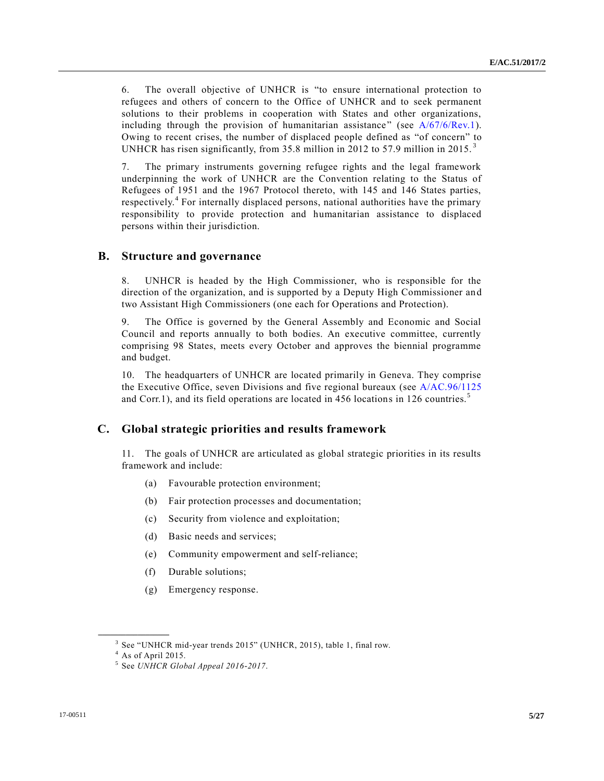6. The overall objective of UNHCR is "to ensure international protection to refugees and others of concern to the Office of UNHCR and to seek permanent solutions to their problems in cooperation with States and other organizations, including through the provision of humanitarian assistance" (see [A/67/6/Rev.1\)](http://undocs.org/A/67/6/Rev.1). Owing to recent crises, the number of displaced people defined as "of concern" to UNHCR has risen significantly, from 35.8 million in 2012 to 57.9 million in 2015.<sup>3</sup>

7. The primary instruments governing refugee rights and the legal framework underpinning the work of UNHCR are the Convention relating to the Status of Refugees of 1951 and the 1967 Protocol thereto, with 145 and 146 States parties, respectively.<sup>4</sup> For internally displaced persons, national authorities have the primary responsibility to provide protection and humanitarian assistance to displaced persons within their jurisdiction.

## **B. Structure and governance**

8. UNHCR is headed by the High Commissioner, who is responsible for the direction of the organization, and is supported by a Deputy High Commissioner an d two Assistant High Commissioners (one each for Operations and Protection).

9. The Office is governed by the General Assembly and Economic and Social Council and reports annually to both bodies. An executive committee, currently comprising 98 States, meets every October and approves the biennial programme and budget.

10. The headquarters of UNHCR are located primarily in Geneva. They comprise the Executive Office, seven Divisions and five regional bureaux (see [A/AC.96/1125](http://undocs.org/A/AC.96/1125) and Corr.1), and its field operations are located in 456 locations in 126 countries.<sup>5</sup>

### **C. Global strategic priorities and results framework**

11. The goals of UNHCR are articulated as global strategic priorities in its results framework and include:

- (a) Favourable protection environment;
- (b) Fair protection processes and documentation;
- (c) Security from violence and exploitation;
- (d) Basic needs and services;
- (e) Community empowerment and self-reliance;
- (f) Durable solutions;
- (g) Emergency response.

<sup>&</sup>lt;sup>3</sup> See "UNHCR mid-year trends 2015" (UNHCR, 2015), table 1, final row.

 $^4$  As of April 2015.

<sup>5</sup> See *UNHCR Global Appeal 2016-2017*.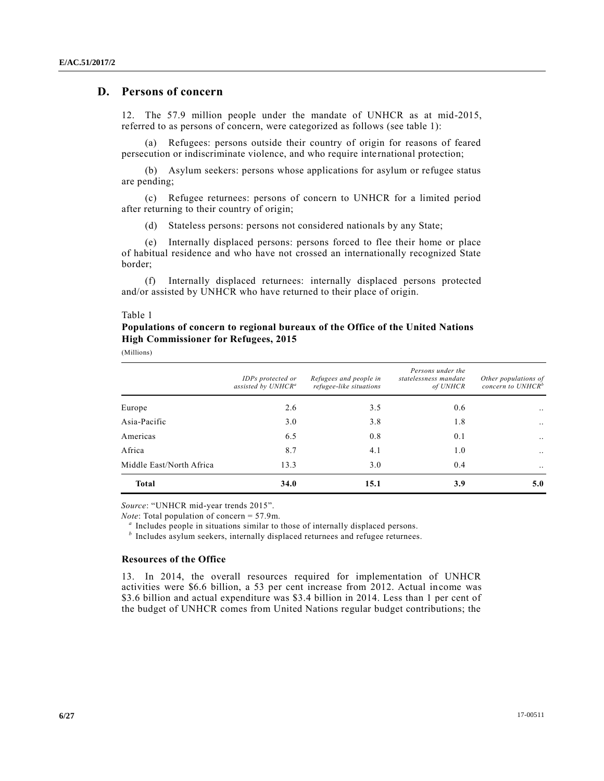## **D. Persons of concern**

12. The 57.9 million people under the mandate of UNHCR as at mid-2015, referred to as persons of concern, were categorized as follows (see table 1):

(a) Refugees: persons outside their country of origin for reasons of feared persecution or indiscriminate violence, and who require international protection;

(b) Asylum seekers: persons whose applications for asylum or refugee status are pending;

(c) Refugee returnees: persons of concern to UNHCR for a limited period after returning to their country of origin;

(d) Stateless persons: persons not considered nationals by any State;

(e) Internally displaced persons: persons forced to flee their home or place of habitual residence and who have not crossed an internationally recognized State border;

(f) Internally displaced returnees: internally displaced persons protected and/or assisted by UNHCR who have returned to their place of origin.

#### Table 1

## **Populations of concern to regional bureaux of the Office of the United Nations High Commissioner for Refugees, 2015**

(Millions)

|                          | IDPs protected or<br>assisted by UNHCR <sup>a</sup> | Refugees and people in<br>refugee-like situations | Persons under the<br>statelessness mandate<br>of UNHCR | Other populations of<br>concern to $UNHCR^b$ |
|--------------------------|-----------------------------------------------------|---------------------------------------------------|--------------------------------------------------------|----------------------------------------------|
| Europe                   | 2.6                                                 | 3.5                                               | 0.6                                                    | $\ddotsc$                                    |
| Asia-Pacific             | 3.0                                                 | 3.8                                               | 1.8                                                    | $\ddotsc$                                    |
| Americas                 | 6.5                                                 | 0.8                                               | 0.1                                                    | $\ddotsc$                                    |
| Africa                   | 8.7                                                 | 4.1                                               | 1.0                                                    | $\ddots$                                     |
| Middle East/North Africa | 13.3                                                | 3.0                                               | 0.4                                                    | $\ddotsc$                                    |
| <b>Total</b>             | 34.0                                                | 15.1                                              | <b>3.9</b>                                             | 5.0                                          |

*Source*: "UNHCR mid-year trends 2015".

*Note*: Total population of concern = 57.9m.

<sup>a</sup> Includes people in situations similar to those of internally displaced persons.

<sup>*b*</sup> Includes asylum seekers, internally displaced returnees and refugee returnees.

#### **Resources of the Office**

13. In 2014, the overall resources required for implementation of UNHCR activities were \$6.6 billion, a 53 per cent increase from 2012. Actual income was \$3.6 billion and actual expenditure was \$3.4 billion in 2014. Less than 1 per cent of the budget of UNHCR comes from United Nations regular budget contributions; the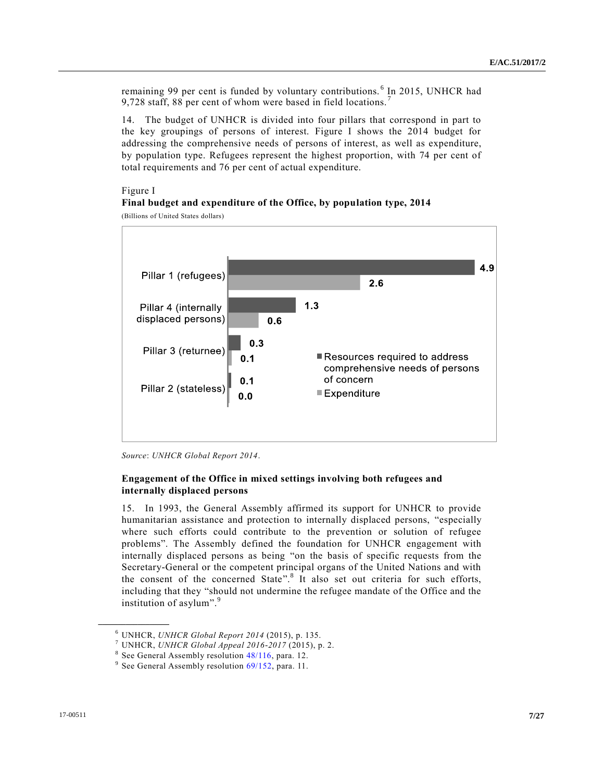remaining 99 per cent is funded by voluntary contributions.<sup>6</sup> In 2015, UNHCR had 9,728 staff, 88 per cent of whom were based in field locations.<sup>7</sup>

14. The budget of UNHCR is divided into four pillars that correspond in part to the key groupings of persons of interest. Figure I shows the 2014 budget for addressing the comprehensive needs of persons of interest, as well as expenditure, by population type. Refugees represent the highest proportion, with 74 per cent of total requirements and 76 per cent of actual expenditure.

#### Figure I **Final budget and expenditure of the Office, by population type, 2014**

(Billions of United States dollars)





#### **Engagement of the Office in mixed settings involving both refugees and internally displaced persons**

15. In 1993, the General Assembly affirmed its support for UNHCR to provide humanitarian assistance and protection to internally displaced persons, "especially where such efforts could contribute to the prevention or solution of refugee problems". The Assembly defined the foundation for UNHCR engagement with internally displaced persons as being "on the basis of specific requests from the Secretary-General or the competent principal organs of the United Nations and with the consent of the concerned State". 8 It also set out criteria for such efforts, including that they "should not undermine the refugee mandate of the Office and the institution of asylum".<sup>9</sup>

<sup>6</sup> UNHCR, *UNHCR Global Report 2014* (2015), p. 135.

<sup>7</sup> UNHCR, *UNHCR Global Appeal 2016-2017* (2015), p. 2.

<sup>&</sup>lt;sup>8</sup> See General Assembly resolution [48/116,](http://undocs.org/A/RES/48/116) para. 12.

<sup>&</sup>lt;sup>9</sup> See General Assembly resolution [69/152,](http://undocs.org/A/RES/69/152) para. 11.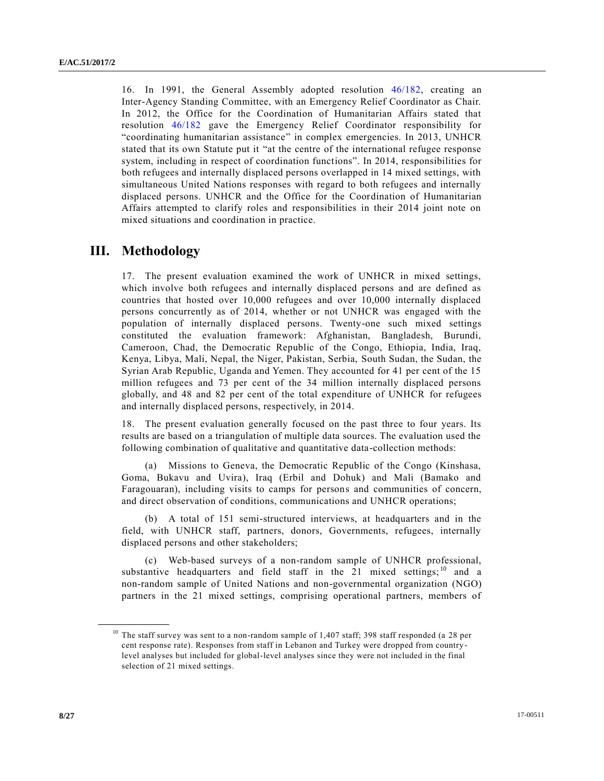16. In 1991, the General Assembly adopted resolution [46/182,](http://undocs.org/A/RES/46/182) creating an Inter-Agency Standing Committee, with an Emergency Relief Coordinator as Chair. In 2012, the Office for the Coordination of Humanitarian Affairs stated that resolution [46/182](http://undocs.org/A/RES/46/182) gave the Emergency Relief Coordinator responsibility for "coordinating humanitarian assistance" in complex emergencies. In 2013, UNHCR stated that its own Statute put it "at the centre of the international refugee response system, including in respect of coordination functions". In 2014, responsibilities for both refugees and internally displaced persons overlapped in 14 mixed settings, with simultaneous United Nations responses with regard to both refugees and internally displaced persons. UNHCR and the Office for the Coordination of Humanitarian Affairs attempted to clarify roles and responsibilities in their 2014 joint note on mixed situations and coordination in practice.

## **III. Methodology**

**\_\_\_\_\_\_\_\_\_\_\_\_\_\_\_\_\_\_**

17. The present evaluation examined the work of UNHCR in mixed settings, which involve both refugees and internally displaced persons and are defined as countries that hosted over 10,000 refugees and over 10,000 internally displaced persons concurrently as of 2014, whether or not UNHCR was engaged with the population of internally displaced persons. Twenty-one such mixed settings constituted the evaluation framework: Afghanistan, Bangladesh, Burundi, Cameroon, Chad, the Democratic Republic of the Congo, Ethiopia, India, Iraq, Kenya, Libya, Mali, Nepal, the Niger, Pakistan, Serbia, South Sudan, the Sudan, the Syrian Arab Republic, Uganda and Yemen. They accounted for 41 per cent of the 15 million refugees and 73 per cent of the 34 million internally displaced persons globally, and 48 and 82 per cent of the total expenditure of UNHCR for refugees and internally displaced persons, respectively, in 2014.

18. The present evaluation generally focused on the past three to four years. Its results are based on a triangulation of multiple data sources. The evaluation used the following combination of qualitative and quantitative data-collection methods:

(a) Missions to Geneva, the Democratic Republic of the Congo (Kinshasa, Goma, Bukavu and Uvira), Iraq (Erbil and Dohuk) and Mali (Bamako and Faragouaran), including visits to camps for persons and communities of concern, and direct observation of conditions, communications and UNHCR operations;

(b) A total of 151 semi-structured interviews, at headquarters and in the field, with UNHCR staff, partners, donors, Governments, refugees, internally displaced persons and other stakeholders;

(c) Web-based surveys of a non-random sample of UNHCR professional, substantive headquarters and field staff in the  $21$  mixed settings; <sup>10</sup> and a non-random sample of United Nations and non-governmental organization (NGO) partners in the 21 mixed settings, comprising operational partners, members of

<sup>&</sup>lt;sup>10</sup> The staff survey was sent to a non-random sample of 1,407 staff; 398 staff responded (a 28 per cent response rate). Responses from staff in Lebanon and Turkey were dropped from country level analyses but included for global-level analyses since they were not included in the final selection of 21 mixed settings.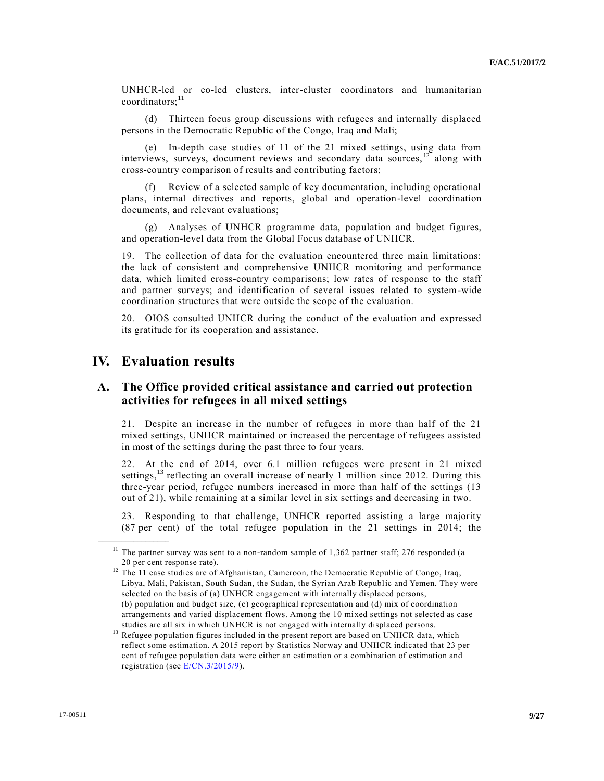UNHCR-led or co-led clusters, inter-cluster coordinators and humanitarian  $coordinates:$ <sup>11</sup>

(d) Thirteen focus group discussions with refugees and internally displaced persons in the Democratic Republic of the Congo, Iraq and Mali;

(e) In-depth case studies of 11 of the 21 mixed settings, using data from interviews, surveys, document reviews and secondary data sources,  $\frac{12}{12}$  along with cross-country comparison of results and contributing factors;

(f) Review of a selected sample of key documentation, including operational plans, internal directives and reports, global and operation-level coordination documents, and relevant evaluations;

(g) Analyses of UNHCR programme data, population and budget figures, and operation-level data from the Global Focus database of UNHCR.

19. The collection of data for the evaluation encountered three main limitations: the lack of consistent and comprehensive UNHCR monitoring and performance data, which limited cross-country comparisons; low rates of response to the staff and partner surveys; and identification of several issues related to system-wide coordination structures that were outside the scope of the evaluation.

20. OIOS consulted UNHCR during the conduct of the evaluation and expressed its gratitude for its cooperation and assistance.

## **IV. Evaluation results**

**\_\_\_\_\_\_\_\_\_\_\_\_\_\_\_\_\_\_**

## **A. The Office provided critical assistance and carried out protection activities for refugees in all mixed settings**

21. Despite an increase in the number of refugees in more than half of the 21 mixed settings, UNHCR maintained or increased the percentage of refugees assisted in most of the settings during the past three to four years.

22. At the end of 2014, over 6.1 million refugees were present in 21 mixed settings,<sup>13</sup> reflecting an overall increase of nearly 1 million since 2012. During this three-year period, refugee numbers increased in more than half of the settings (13 out of 21), while remaining at a similar level in six settings and decreasing in two.

23. Responding to that challenge, UNHCR reported assisting a large majority (87 per cent) of the total refugee population in the 21 settings in 2014; the

 $11$  The partner survey was sent to a non-random sample of 1,362 partner staff; 276 responded (a 20 per cent response rate).

<sup>&</sup>lt;sup>12</sup> The 11 case studies are of Afghanistan, Cameroon, the Democratic Republic of Congo, Iraq, Libya, Mali, Pakistan, South Sudan, the Sudan, the Syrian Arab Republic and Yemen. They were selected on the basis of (a) UNHCR engagement with internally displaced persons, (b) population and budget size, (c) geographical representation and (d) mix of coordination arrangements and varied displacement flows. Among the 10 mixed settings not selected as case studies are all six in which UNHCR is not engaged with internally displaced persons.

 $^{13}$  Refugee population figures included in the present report are based on UNHCR data, which reflect some estimation. A 2015 report by Statistics Norway and UNHCR indicated that 23 per cent of refugee population data were either an estimation or a combination of estimation and registration (see [E/CN.3/2015/9\)](http://undocs.org/E/CN.3/2015/9).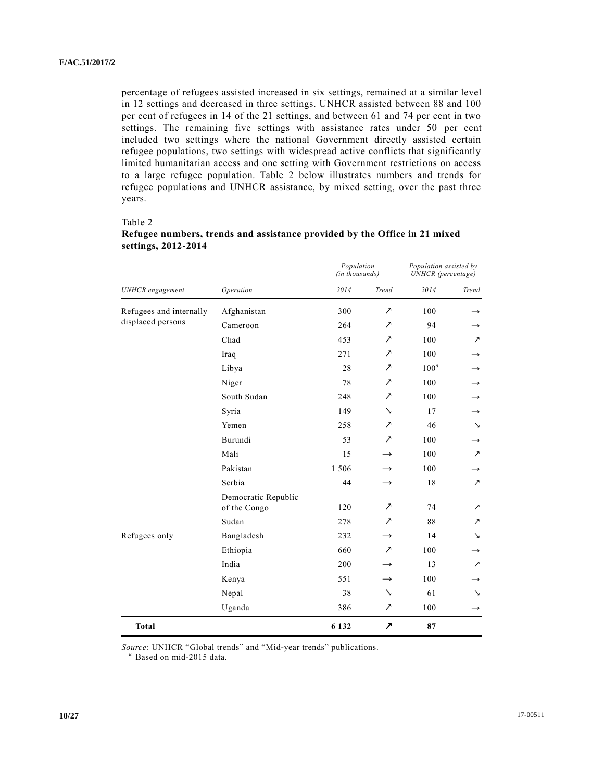percentage of refugees assisted increased in six settings, remained at a similar level in 12 settings and decreased in three settings. UNHCR assisted between 88 and 100 per cent of refugees in 14 of the 21 settings, and between 61 and 74 per cent in two settings. The remaining five settings with assistance rates under 50 per cent included two settings where the national Government directly assisted certain refugee populations, two settings with widespread active conflicts that significantly limited humanitarian access and one setting with Government restrictions on access to a large refugee population. Table 2 below illustrates numbers and trends for refugee populations and UNHCR assistance, by mixed setting, over the past three years.

#### Table 2

|                         |                                     | Population<br>(in thousands) |                             | Population assisted by<br><b>UNHCR</b> (percentage) |               |
|-------------------------|-------------------------------------|------------------------------|-----------------------------|-----------------------------------------------------|---------------|
| <b>UNHCR</b> engagement | Operation                           | 2014                         | Trend                       | 2014                                                | Trend         |
| Refugees and internally | Afghanistan                         | 300                          | ↗                           | 100                                                 |               |
| displaced persons       | Cameroon                            | 264                          | ↗                           | 94                                                  |               |
|                         | Chad                                | 453                          | ↗                           | 100                                                 | ↗             |
|                         | Iraq                                | 271                          | ↗                           | 100                                                 |               |
|                         | Libya                               | 28                           | ↗                           | $100^a$                                             |               |
|                         | Niger                               | 78                           | ↗                           | 100                                                 |               |
|                         | South Sudan                         | 248                          | ↗                           | 100                                                 | $\rightarrow$ |
|                         | Syria                               | 149                          | ↘                           | 17                                                  | $\rightarrow$ |
|                         | Yemen                               | 258                          | ↗                           | 46                                                  | ↘             |
|                         | Burundi                             | 53                           | $\mathcal{L}_{\mathcal{L}}$ | 100                                                 |               |
|                         | Mali                                | 15                           | $\rightarrow$               | 100                                                 | ↗             |
|                         | Pakistan                            | 1 506                        | $\rightarrow$               | 100                                                 | →             |
|                         | Serbia                              | 44                           | $\rightarrow$               | 18                                                  | ↗             |
|                         | Democratic Republic<br>of the Congo | 120                          | $\overline{\phantom{a}}$    | 74                                                  | ↗             |
|                         | Sudan                               | 278                          | $\overline{\phantom{a}}$    | 88                                                  | ↗             |
| Refugees only           | Bangladesh                          | 232                          | $\rightarrow$               | 14                                                  | ↘             |
|                         | Ethiopia                            | 660                          | $\overline{\phantom{a}}$    | 100                                                 | $\rightarrow$ |
|                         | India                               | 200                          |                             | 13                                                  | ↗             |
|                         | Kenya                               | 551                          | $\rightarrow$               | 100                                                 | →             |
|                         | Nepal                               | 38                           | ↘                           | 61                                                  | ↘             |
|                         | Uganda                              | 386                          | $\mathcal{L}_{\mathcal{L}}$ | 100                                                 | $\rightarrow$ |
| <b>Total</b>            |                                     | 6 132                        | $\overline{\phantom{a}}$    | 87                                                  |               |

## **Refugee numbers, trends and assistance provided by the Office in 21 mixed settings, 2012-2014**

*Source*: UNHCR "Global trends" and "Mid-year trends" publications.

*<sup>a</sup>* Based on mid-2015 data.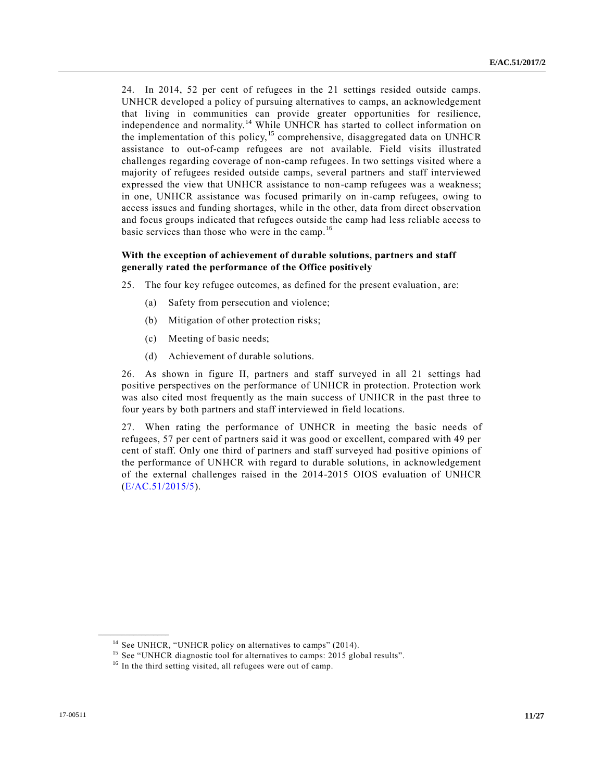24. In 2014, 52 per cent of refugees in the 21 settings resided outside camps. UNHCR developed a policy of pursuing alternatives to camps, an acknowledgement that living in communities can provide greater opportunities for resilience, independence and normality.<sup>14</sup> While UNHCR has started to collect information on the implementation of this policy,<sup>15</sup> comprehensive, disaggregated data on UNHCR assistance to out-of-camp refugees are not available. Field visits illustrated challenges regarding coverage of non-camp refugees. In two settings visited where a majority of refugees resided outside camps, several partners and staff interviewed expressed the view that UNHCR assistance to non-camp refugees was a weakness; in one, UNHCR assistance was focused primarily on in-camp refugees, owing to access issues and funding shortages, while in the other, data from direct observation and focus groups indicated that refugees outside the camp had less reliable access to basic services than those who were in the camp.<sup>16</sup>

#### **With the exception of achievement of durable solutions, partners and staff generally rated the performance of the Office positively**

25. The four key refugee outcomes, as defined for the present evaluation, are:

- (a) Safety from persecution and violence;
- (b) Mitigation of other protection risks;
- (c) Meeting of basic needs;
- (d) Achievement of durable solutions.

26. As shown in figure II, partners and staff surveyed in all 21 settings had positive perspectives on the performance of UNHCR in protection. Protection work was also cited most frequently as the main success of UNHCR in the past three to four years by both partners and staff interviewed in field locations.

27. When rating the performance of UNHCR in meeting the basic needs of refugees, 57 per cent of partners said it was good or excellent, compared with 49 per cent of staff. Only one third of partners and staff surveyed had positive opinions of the performance of UNHCR with regard to durable solutions, in acknowledgement of the external challenges raised in the 2014-2015 OIOS evaluation of UNHCR [\(E/AC.51/2015/5\)](http://undocs.org/E/AC.51/2015/5).

 $14$  See UNHCR, "UNHCR policy on alternatives to camps" (2014).

<sup>&</sup>lt;sup>15</sup> See "UNHCR diagnostic tool for alternatives to camps: 2015 global results".

<sup>&</sup>lt;sup>16</sup> In the third setting visited, all refugees were out of camp.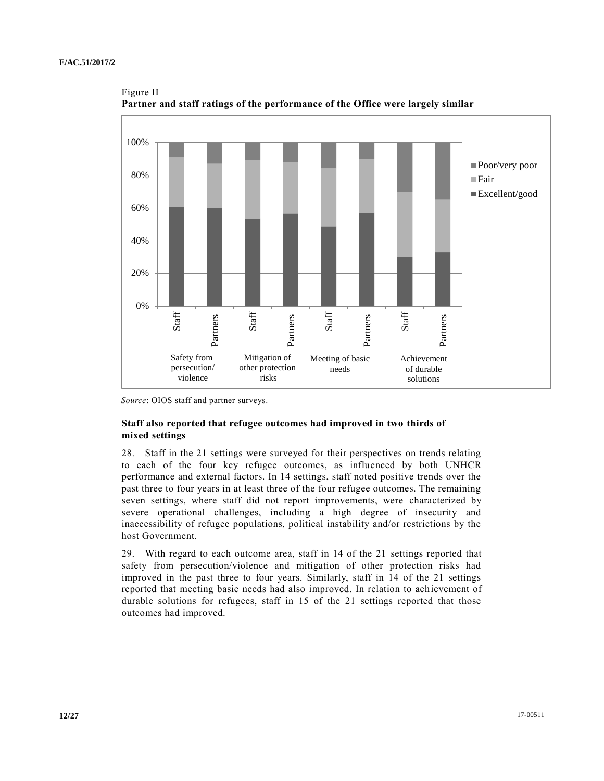

Figure II **Partner and staff ratings of the performance of the Office were largely similar** 

### **Staff also reported that refugee outcomes had improved in two thirds of mixed settings**

28. Staff in the 21 settings were surveyed for their perspectives on trends relating to each of the four key refugee outcomes, as influenced by both UNHCR performance and external factors. In 14 settings, staff noted positive trends over the past three to four years in at least three of the four refugee outcomes. The remaining seven settings, where staff did not report improvements, were characterized by severe operational challenges, including a high degree of insecurity and inaccessibility of refugee populations, political instability and/or restrictions by the host Government.

29. With regard to each outcome area, staff in 14 of the 21 settings reported that safety from persecution/violence and mitigation of other protection risks had improved in the past three to four years. Similarly, staff in 14 of the 21 settings reported that meeting basic needs had also improved. In relation to achievement of durable solutions for refugees, staff in 15 of the 21 settings reported that those outcomes had improved.

*Source*: OIOS staff and partner surveys.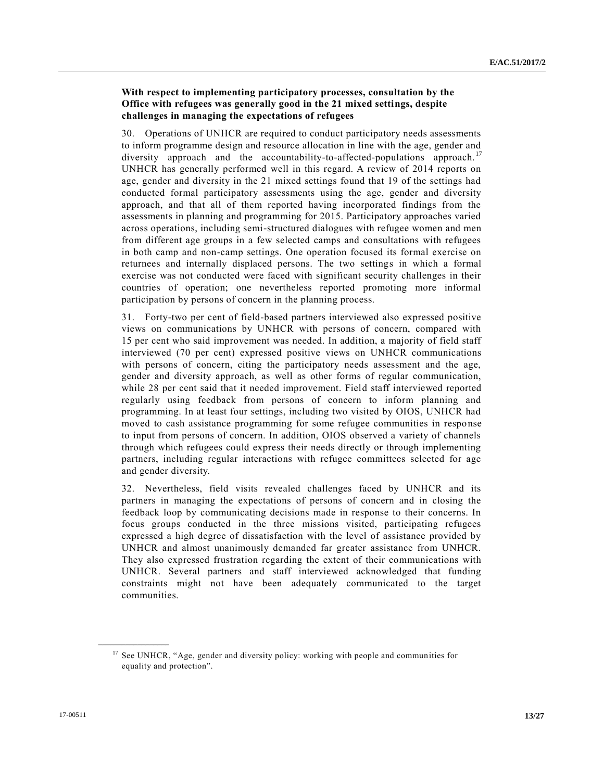## **With respect to implementing participatory processes, consultation by the Office with refugees was generally good in the 21 mixed settings, despite challenges in managing the expectations of refugees**

30. Operations of UNHCR are required to conduct participatory needs assessments to inform programme design and resource allocation in line with the age, gender and diversity approach and the accountability-to-affected-populations approach.<sup>17</sup> UNHCR has generally performed well in this regard. A review of 2014 reports on age, gender and diversity in the 21 mixed settings found that 19 of the settings had conducted formal participatory assessments using the age, gender and diversity approach, and that all of them reported having incorporated findings from the assessments in planning and programming for 2015. Participatory approaches varied across operations, including semi-structured dialogues with refugee women and men from different age groups in a few selected camps and consultations with refugees in both camp and non-camp settings. One operation focused its formal exercise on returnees and internally displaced persons. The two settings in which a formal exercise was not conducted were faced with significant security challenges in their countries of operation; one nevertheless reported promoting more informal participation by persons of concern in the planning process.

31. Forty-two per cent of field-based partners interviewed also expressed positive views on communications by UNHCR with persons of concern, compared with 15 per cent who said improvement was needed. In addition, a majority of field staff interviewed (70 per cent) expressed positive views on UNHCR communications with persons of concern, citing the participatory needs assessment and the age, gender and diversity approach, as well as other forms of regular communication, while 28 per cent said that it needed improvement. Field staff interviewed reported regularly using feedback from persons of concern to inform planning and programming. In at least four settings, including two visited by OIOS, UNHCR had moved to cash assistance programming for some refugee communities in response to input from persons of concern. In addition, OIOS observed a variety of channels through which refugees could express their needs directly or through implementing partners, including regular interactions with refugee committees selected for age and gender diversity.

32. Nevertheless, field visits revealed challenges faced by UNHCR and its partners in managing the expectations of persons of concern and in closing the feedback loop by communicating decisions made in response to their concerns. In focus groups conducted in the three missions visited, participating refugees expressed a high degree of dissatisfaction with the level of assistance provided by UNHCR and almost unanimously demanded far greater assistance from UNHCR. They also expressed frustration regarding the extent of their communications with UNHCR. Several partners and staff interviewed acknowledged that funding constraints might not have been adequately communicated to the target communities.

<sup>&</sup>lt;sup>17</sup> See UNHCR, "Age, gender and diversity policy: working with people and communities for equality and protection".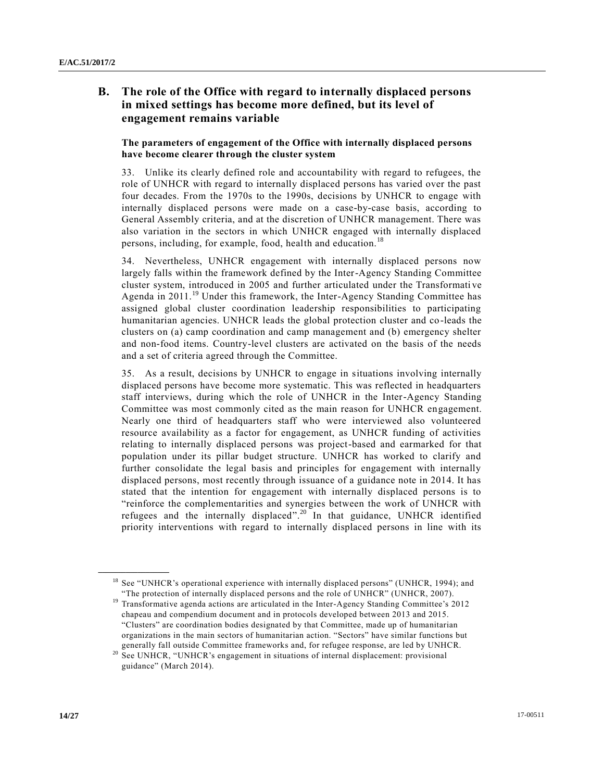## **B. The role of the Office with regard to internally displaced persons in mixed settings has become more defined, but its level of engagement remains variable**

### **The parameters of engagement of the Office with internally displaced persons have become clearer through the cluster system**

33. Unlike its clearly defined role and accountability with regard to refugees, the role of UNHCR with regard to internally displaced persons has varied over the past four decades. From the 1970s to the 1990s, decisions by UNHCR to engage with internally displaced persons were made on a case-by-case basis, according to General Assembly criteria, and at the discretion of UNHCR management. There was also variation in the sectors in which UNHCR engaged with internally displaced persons, including, for example, food, health and education.<sup>18</sup>

34. Nevertheless, UNHCR engagement with internally displaced persons now largely falls within the framework defined by the Inter-Agency Standing Committee cluster system, introduced in 2005 and further articulated under the Transformati ve Agenda in  $2011$ .<sup>19</sup> Under this framework, the Inter-Agency Standing Committee has assigned global cluster coordination leadership responsibilities to participating humanitarian agencies. UNHCR leads the global protection cluster and co-leads the clusters on (a) camp coordination and camp management and (b) emergency shelter and non-food items. Country-level clusters are activated on the basis of the needs and a set of criteria agreed through the Committee.

35. As a result, decisions by UNHCR to engage in situations involving internally displaced persons have become more systematic. This was reflected in headquarters staff interviews, during which the role of UNHCR in the Inter-Agency Standing Committee was most commonly cited as the main reason for UNHCR engagement. Nearly one third of headquarters staff who were interviewed also volunteered resource availability as a factor for engagement, as UNHCR funding of activities relating to internally displaced persons was project-based and earmarked for that population under its pillar budget structure. UNHCR has worked to clarify and further consolidate the legal basis and principles for engagement with internally displaced persons, most recently through issuance of a guidance note in 2014. It has stated that the intention for engagement with internally displaced persons is to "reinforce the complementarities and synergies between the work of UNHCR with refugees and the internally displaced".<sup>20</sup> In that guidance, UNHCR identified priority interventions with regard to internally displaced persons in line with its

<sup>&</sup>lt;sup>18</sup> See "UNHCR's operational experience with internally displaced persons" (UNHCR, 1994); and "The protection of internally displaced persons and the role of UNHCR" (UNHCR, 2007).

<sup>&</sup>lt;sup>19</sup> Transformative agenda actions are articulated in the Inter-Agency Standing Committee's 2012 chapeau and compendium document and in protocols developed between 2013 and 2015. "Clusters" are coordination bodies designated by that Committee, made up of humanitarian organizations in the main sectors of humanitarian action. "Sectors" have similar functions but generally fall outside Committee frameworks and, for refugee response, are led by UNHCR.

<sup>&</sup>lt;sup>20</sup> See UNHCR, "UNHCR's engagement in situations of internal displacement: provisional guidance" (March 2014).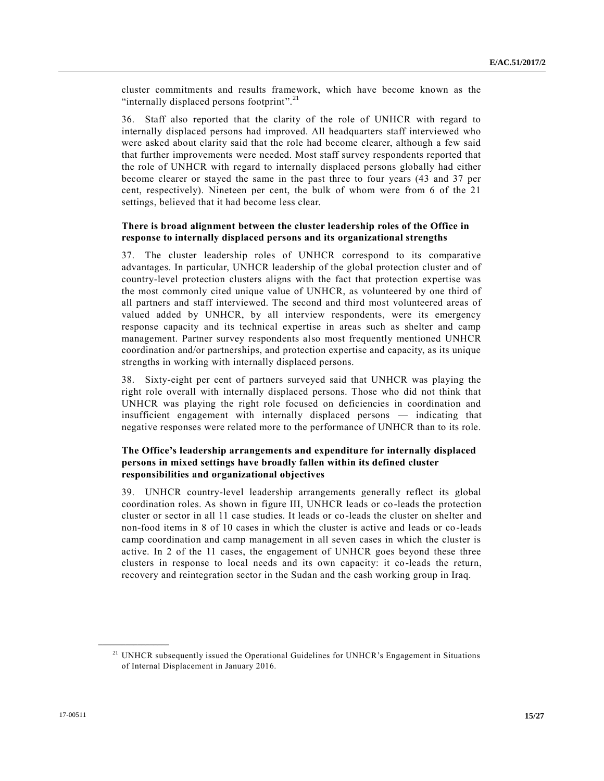cluster commitments and results framework, which have become known as the "internally displaced persons footprint".<sup>21</sup>

36. Staff also reported that the clarity of the role of UNHCR with regard to internally displaced persons had improved. All headquarters staff interviewed who were asked about clarity said that the role had become clearer, although a few said that further improvements were needed. Most staff survey respondents reported that the role of UNHCR with regard to internally displaced persons globally had either become clearer or stayed the same in the past three to four years (43 and 37 per cent, respectively). Nineteen per cent, the bulk of whom were from 6 of the 21 settings, believed that it had become less clear.

#### **There is broad alignment between the cluster leadership roles of the Office in response to internally displaced persons and its organizational strengths**

37. The cluster leadership roles of UNHCR correspond to its comparative advantages. In particular, UNHCR leadership of the global protection cluster and of country-level protection clusters aligns with the fact that protection expertise was the most commonly cited unique value of UNHCR, as volunteered by one third of all partners and staff interviewed. The second and third most volunteered areas of valued added by UNHCR, by all interview respondents, were its emergency response capacity and its technical expertise in areas such as shelter and camp management. Partner survey respondents also most frequently mentioned UNHCR coordination and/or partnerships, and protection expertise and capacity, as its unique strengths in working with internally displaced persons.

38. Sixty-eight per cent of partners surveyed said that UNHCR was playing the right role overall with internally displaced persons. Those who did not think that UNHCR was playing the right role focused on deficiencies in coordination and insufficient engagement with internally displaced persons — indicating that negative responses were related more to the performance of UNHCR than to its role.

### **The Office's leadership arrangements and expenditure for internally displaced persons in mixed settings have broadly fallen within its defined cluster responsibilities and organizational objectives**

39. UNHCR country-level leadership arrangements generally reflect its global coordination roles. As shown in figure III, UNHCR leads or co-leads the protection cluster or sector in all 11 case studies. It leads or co-leads the cluster on shelter and non-food items in 8 of 10 cases in which the cluster is active and leads or co -leads camp coordination and camp management in all seven cases in which the cluster is active. In 2 of the 11 cases, the engagement of UNHCR goes beyond these three clusters in response to local needs and its own capacity: it co-leads the return, recovery and reintegration sector in the Sudan and the cash working group in Iraq.

<sup>&</sup>lt;sup>21</sup> UNHCR subsequently issued the Operational Guidelines for UNHCR's Engagement in Situations of Internal Displacement in January 2016.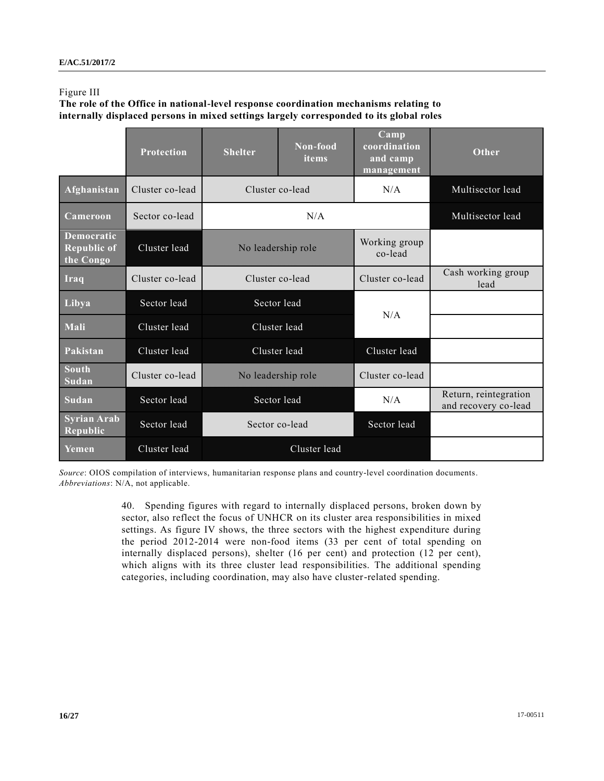#### Figure III

**The role of the Office in national-level response coordination mechanisms relating to internally displaced persons in mixed settings largely corresponded to its global roles**

|                                                      | <b>Protection</b> | <b>Shelter</b>     | Non-food<br>items | Camp<br>coordination<br>and camp<br>management | Other                                         |
|------------------------------------------------------|-------------------|--------------------|-------------------|------------------------------------------------|-----------------------------------------------|
| Afghanistan                                          | Cluster co-lead   | Cluster co-lead    |                   | N/A                                            | Multisector lead                              |
| Cameroon                                             | Sector co-lead    | N/A                |                   |                                                | Multisector lead                              |
| <b>Democratic</b><br><b>Republic of</b><br>the Congo | Cluster lead      | No leadership role |                   | Working group<br>co-lead                       |                                               |
| Iraq                                                 | Cluster co-lead   | Cluster co-lead    |                   | Cluster co-lead                                | Cash working group<br>lead                    |
| Libya                                                | Sector lead       | Sector lead        |                   | N/A                                            |                                               |
| Mali                                                 | Cluster lead      | Cluster lead       |                   |                                                |                                               |
| Pakistan                                             | Cluster lead      | Cluster lead       |                   | Cluster lead                                   |                                               |
| <b>South</b><br>Sudan                                | Cluster co-lead   | No leadership role |                   | Cluster co-lead                                |                                               |
| Sudan                                                | Sector lead       | Sector lead        |                   | N/A                                            | Return, reintegration<br>and recovery co-lead |
| <b>Syrian Arab</b><br><b>Republic</b>                | Sector lead       | Sector co-lead     |                   | Sector lead                                    |                                               |
| Yemen                                                | Cluster lead      | Cluster lead       |                   |                                                |                                               |

*Source*: OIOS compilation of interviews, humanitarian response plans and country-level coordination documents. *Abbreviations*: N/A, not applicable.

> 40. Spending figures with regard to internally displaced persons, broken down by sector, also reflect the focus of UNHCR on its cluster area responsibilities in mixed settings. As figure IV shows, the three sectors with the highest expenditure during the period 2012-2014 were non-food items (33 per cent of total spending on internally displaced persons), shelter (16 per cent) and protection (12 per cent), which aligns with its three cluster lead responsibilities. The additional spending categories, including coordination, may also have cluster-related spending.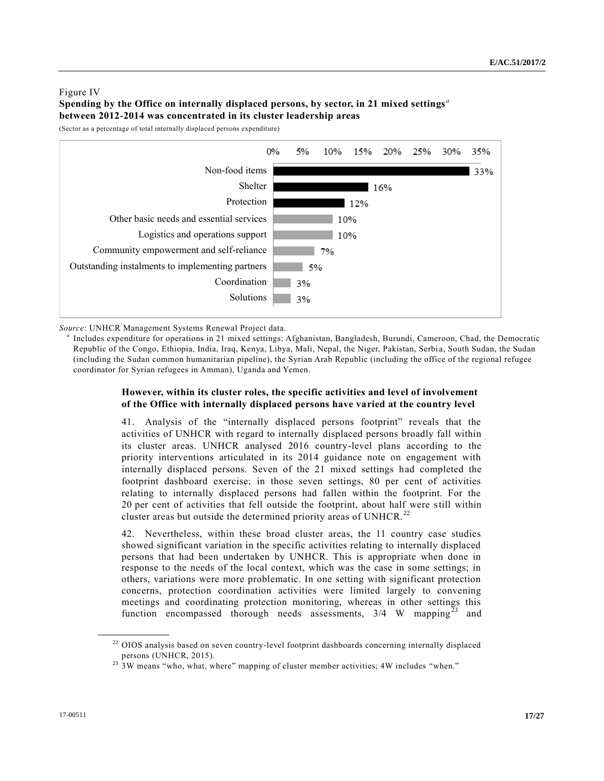### Figure IV **Spending by the Office on internally displaced persons, by sector, in 21 mixed settings** *<sup>a</sup>* **between 2012-2014 was concentrated in its cluster leadership areas**

(Sector as a percentage of total internally displaced persons expenditure)



*Source*: UNHCR Management Systems Renewal Project data.

*a* Includes expenditure for operations in 21 mixed settings: Afghanistan, Bangladesh, Burundi, Cameroon, Chad, the Democratic Republic of the Congo, Ethiopia, India, Iraq, Kenya, Libya, Mali, Nepal, the Niger, Pakistan, Serbia, South Sudan, the Sudan (including the Sudan common humanitarian pipeline), the Syrian Arab Republic (including the office of the regional refugee coordinator for Syrian refugees in Amman), Uganda and Yemen.

### **However, within its cluster roles, the specific activities and level of involvement of the Office with internally displaced persons have varied at the country level**

41. Analysis of the "internally displaced persons footprint" reveals that the activities of UNHCR with regard to internally displaced persons broadly fall within its cluster areas. UNHCR analysed 2016 country-level plans according to the priority interventions articulated in its 2014 guidance note on engagement with internally displaced persons. Seven of the 21 mixed settings had completed the footprint dashboard exercise; in those seven settings, 80 per cent of activities relating to internally displaced persons had fallen within the footprint. For the 20 per cent of activities that fell outside the footprint, about half were still within cluster areas but outside the determined priority areas of UNHCR.<sup>22</sup>

42. Nevertheless, within these broad cluster areas, the 11 country case studies showed significant variation in the specific activities relating to internally displaced persons that had been undertaken by UNHCR. This is appropriate when done in response to the needs of the local context, which was the case in some settings; in others, variations were more problematic. In one setting with significant protection concerns, protection coordination activities were limited largely to convening meetings and coordinating protection monitoring, whereas in other settings this function encompassed thorough needs assessments,  $3/4$  W mapping<sup>23</sup> and

<sup>&</sup>lt;sup>22</sup> OIOS analysis based on seven country-level footprint dashboards concerning internally displaced persons (UNHCR, 2015).

<sup>&</sup>lt;sup>23</sup> 3W means "who, what, where" mapping of cluster member activities; 4W includes "when."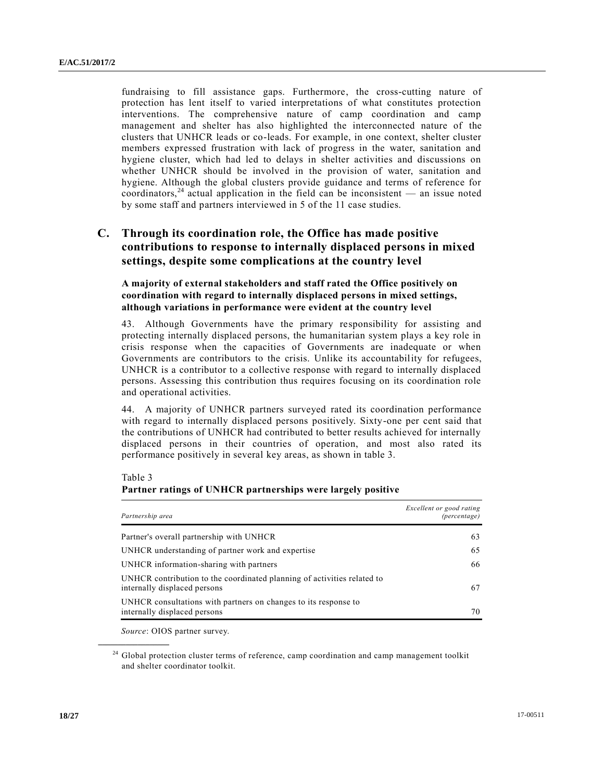fundraising to fill assistance gaps. Furthermore, the cross-cutting nature of protection has lent itself to varied interpretations of what constitutes protection interventions. The comprehensive nature of camp coordination and camp management and shelter has also highlighted the interconnected nature of the clusters that UNHCR leads or co-leads. For example, in one context, shelter cluster members expressed frustration with lack of progress in the water, sanitation and hygiene cluster, which had led to delays in shelter activities and discussions on whether UNHCR should be involved in the provision of water, sanitation and hygiene. Although the global clusters provide guidance and terms of reference for coordinators,<sup>24</sup> actual application in the field can be inconsistent — an issue noted by some staff and partners interviewed in 5 of the 11 case studies.

## **C. Through its coordination role, the Office has made positive contributions to response to internally displaced persons in mixed settings, despite some complications at the country level**

**A majority of external stakeholders and staff rated the Office positively on coordination with regard to internally displaced persons in mixed settings, although variations in performance were evident at the country level**

43. Although Governments have the primary responsibility for assisting and protecting internally displaced persons, the humanitarian system plays a key role in crisis response when the capacities of Governments are inadequate or when Governments are contributors to the crisis. Unlike its accountability for refugees, UNHCR is a contributor to a collective response with regard to internally displaced persons. Assessing this contribution thus requires focusing on its coordination role and operational activities.

44. A majority of UNHCR partners surveyed rated its coordination performance with regard to internally displaced persons positively. Sixty-one per cent said that the contributions of UNHCR had contributed to better results achieved for internally displaced persons in their countries of operation, and most also rated its performance positively in several key areas, as shown in table 3.

Table 3

**\_\_\_\_\_\_\_\_\_\_\_\_\_\_\_\_\_\_**

| Partnership area                                                                                        | Excellent or good rating<br><i>(percentage)</i> |
|---------------------------------------------------------------------------------------------------------|-------------------------------------------------|
| Partner's overall partnership with UNHCR                                                                | 63                                              |
| UNHCR understanding of partner work and expertise                                                       | 65                                              |
| UNHCR information-sharing with partners                                                                 | 66                                              |
| UNHCR contribution to the coordinated planning of activities related to<br>internally displaced persons | 67                                              |
| UNHCR consultations with partners on changes to its response to<br>internally displaced persons         | 70                                              |

#### **Partner ratings of UNHCR partnerships were largely positive**

*Source*: OIOS partner survey.

<sup>24</sup> Global protection cluster terms of reference, camp coordination and camp management toolkit and shelter coordinator toolkit.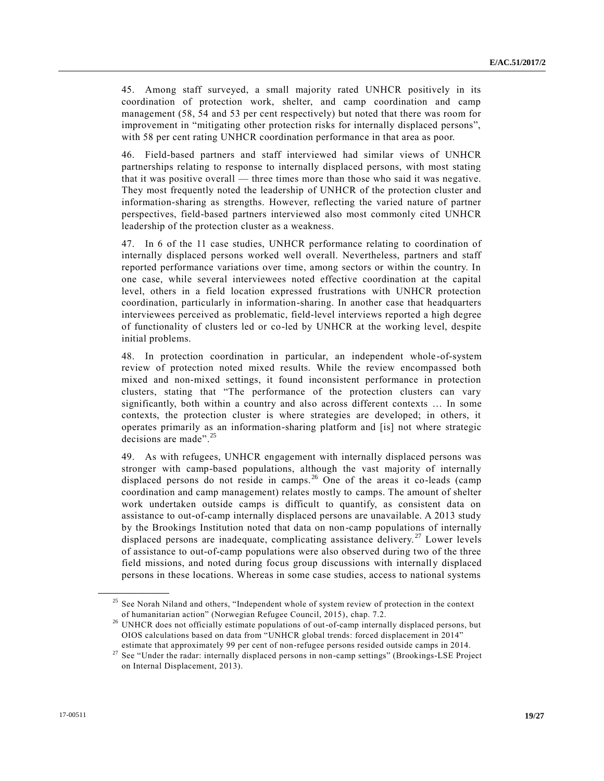45. Among staff surveyed, a small majority rated UNHCR positively in its coordination of protection work, shelter, and camp coordination and camp management (58, 54 and 53 per cent respectively) but noted that there was room for improvement in "mitigating other protection risks for internally displaced persons", with 58 per cent rating UNHCR coordination performance in that area as poor.

46. Field-based partners and staff interviewed had similar views of UNHCR partnerships relating to response to internally displaced persons, with most stating that it was positive overall — three times more than those who said it was negative. They most frequently noted the leadership of UNHCR of the protection cluster and information-sharing as strengths. However, reflecting the varied nature of partner perspectives, field-based partners interviewed also most commonly cited UNHCR leadership of the protection cluster as a weakness.

47. In 6 of the 11 case studies, UNHCR performance relating to coordination of internally displaced persons worked well overall. Nevertheless, partners and staff reported performance variations over time, among sectors or within the country. In one case, while several interviewees noted effective coordination at the capital level, others in a field location expressed frustrations with UNHCR protection coordination, particularly in information-sharing. In another case that headquarters interviewees perceived as problematic, field-level interviews reported a high degree of functionality of clusters led or co-led by UNHCR at the working level, despite initial problems.

48. In protection coordination in particular, an independent whole-of-system review of protection noted mixed results. While the review encompassed both mixed and non-mixed settings, it found inconsistent performance in protection clusters, stating that "The performance of the protection clusters can vary significantly, both within a country and also across different contexts … In some contexts, the protection cluster is where strategies are developed; in others, it operates primarily as an information-sharing platform and [is] not where strategic decisions are made".<sup>25</sup>

49. As with refugees, UNHCR engagement with internally displaced persons was stronger with camp-based populations, although the vast majority of internally displaced persons do not reside in camps.<sup>26</sup> One of the areas it co-leads (camp coordination and camp management) relates mostly to camps. The amount of shelter work undertaken outside camps is difficult to quantify, as consistent data on assistance to out-of-camp internally displaced persons are unavailable. A 2013 study by the Brookings Institution noted that data on non-camp populations of internally displaced persons are inadequate, complicating assistance delivery.<sup>27</sup> Lower levels of assistance to out-of-camp populations were also observed during two of the three field missions, and noted during focus group discussions with internally displaced persons in these locations. Whereas in some case studies, access to national systems

<sup>&</sup>lt;sup>25</sup> See Norah Niland and others, "Independent whole of system review of protection in the context of humanitarian action" (Norwegian Refugee Council, 2015), chap. 7.2.

<sup>&</sup>lt;sup>26</sup> UNHCR does not officially estimate populations of out-of-camp internally displaced persons, but OIOS calculations based on data from "UNHCR global trends: forced displacement in 2014" estimate that approximately 99 per cent of non-refugee persons resided outside camps in 2014.

<sup>&</sup>lt;sup>27</sup> See "Under the radar: internally displaced persons in non-camp settings" (Brookings-LSE Project on Internal Displacement, 2013).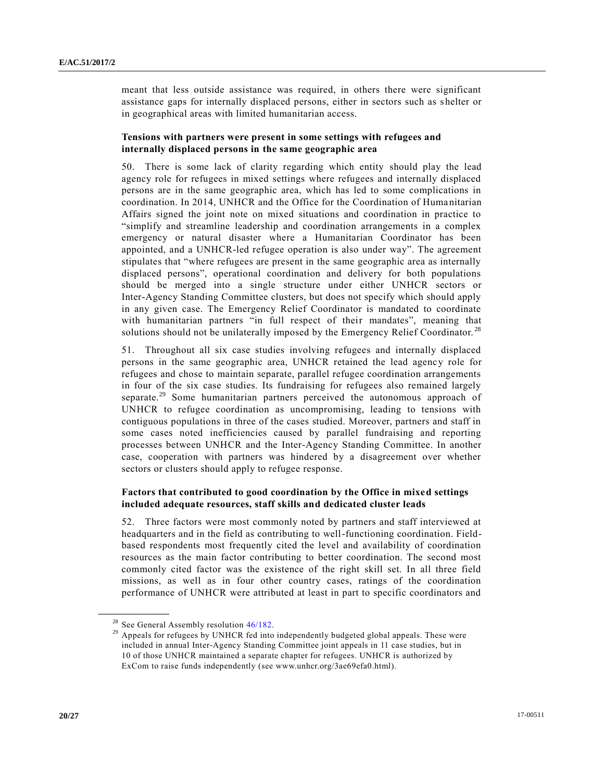meant that less outside assistance was required, in others there were significant assistance gaps for internally displaced persons, either in sectors such as shelter or in geographical areas with limited humanitarian access.

#### **Tensions with partners were present in some settings with refugees and internally displaced persons in the same geographic area**

50. There is some lack of clarity regarding which entity should play the lead agency role for refugees in mixed settings where refugees and internally displaced persons are in the same geographic area, which has led to some complications in coordination. In 2014, UNHCR and the Office for the Coordination of Humanitarian Affairs signed the joint note on mixed situations and coordination in practice to "simplify and streamline leadership and coordination arrangements in a complex emergency or natural disaster where a Humanitarian Coordinator has been appointed, and a UNHCR-led refugee operation is also under way". The agreement stipulates that "where refugees are present in the same geographic area as internally displaced persons", operational coordination and delivery for both populations should be merged into a single structure under either UNHCR sectors or Inter-Agency Standing Committee clusters, but does not specify which should apply in any given case. The Emergency Relief Coordinator is mandated to coordinate with humanitarian partners "in full respect of their mandates", meaning that solutions should not be unilaterally imposed by the Emergency Relief Coordinator.<sup>28</sup>

51. Throughout all six case studies involving refugees and internally displaced persons in the same geographic area, UNHCR retained the lead agency role for refugees and chose to maintain separate, parallel refugee coordination arrangements in four of the six case studies. Its fundraising for refugees also remained largely separate.<sup>29</sup> Some humanitarian partners perceived the autonomous approach of UNHCR to refugee coordination as uncompromising, leading to tensions with contiguous populations in three of the cases studied. Moreover, partners and staff in some cases noted inefficiencies caused by parallel fundraising and reporting processes between UNHCR and the Inter-Agency Standing Committee. In another case, cooperation with partners was hindered by a disagreement over whether sectors or clusters should apply to refugee response.

#### **Factors that contributed to good coordination by the Office in mixed settings included adequate resources, staff skills and dedicated cluster leads**

52. Three factors were most commonly noted by partners and staff interviewed at headquarters and in the field as contributing to well-functioning coordination. Fieldbased respondents most frequently cited the level and availability of coordination resources as the main factor contributing to better coordination. The second most commonly cited factor was the existence of the right skill set. In all three field missions, as well as in four other country cases, ratings of the coordination performance of UNHCR were attributed at least in part to specific coordinators and

<sup>&</sup>lt;sup>28</sup> See General Assembly resolution  $46/182$ .

<sup>&</sup>lt;sup>29</sup> Appeals for refugees by UNHCR fed into independently budgeted global appeals. These were included in annual Inter-Agency Standing Committee joint appeals in 11 case studies, but in 10 of those UNHCR maintained a separate chapter for refugees. UNHCR is authorized by ExCom to raise funds independently (see www.unhcr.org/3ae69efa0.html).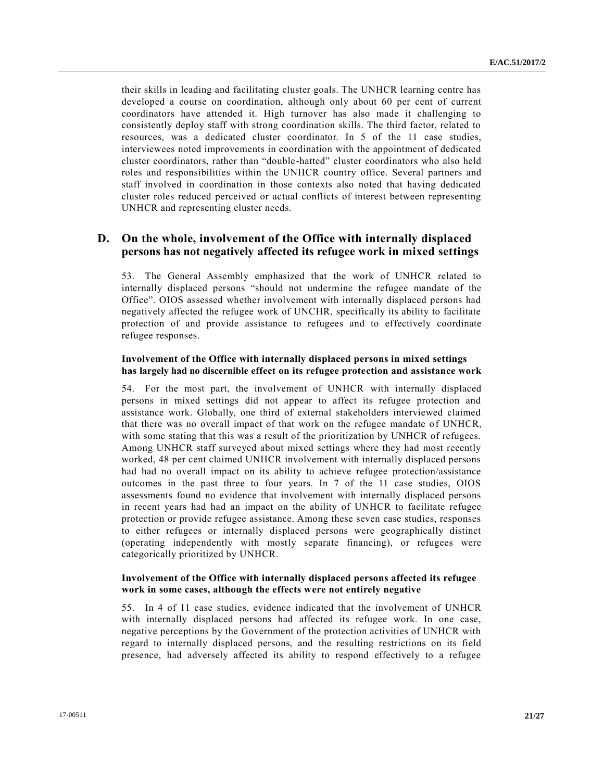their skills in leading and facilitating cluster goals. The UNHCR learning centre has developed a course on coordination, although only about 60 per cent of current coordinators have attended it. High turnover has also made it challenging to consistently deploy staff with strong coordination skills. The third factor, related to resources, was a dedicated cluster coordinator. In 5 of the 11 case studies, interviewees noted improvements in coordination with the appointment of dedicated cluster coordinators, rather than "double-hatted" cluster coordinators who also held roles and responsibilities within the UNHCR country office. Several partners and staff involved in coordination in those contexts also noted that having dedicated cluster roles reduced perceived or actual conflicts of interest between representing UNHCR and representing cluster needs.

## **D. On the whole, involvement of the Office with internally displaced persons has not negatively affected its refugee work in mixed settings**

53. The General Assembly emphasized that the work of UNHCR related to internally displaced persons "should not undermine the refugee mandate of the Office". OIOS assessed whether involvement with internally displaced persons had negatively affected the refugee work of UNCHR, specifically its ability to facilitate protection of and provide assistance to refugees and to effectively coordinate refugee responses.

#### **Involvement of the Office with internally displaced persons in mixed settings has largely had no discernible effect on its refugee protection and assistance work**

54. For the most part, the involvement of UNHCR with internally displaced persons in mixed settings did not appear to affect its refugee protection and assistance work. Globally, one third of external stakeholders interviewed claimed that there was no overall impact of that work on the refugee mandate of UNHCR, with some stating that this was a result of the prioritization by UNHCR of refugees. Among UNHCR staff surveyed about mixed settings where they had most recently worked, 48 per cent claimed UNHCR involvement with internally displaced persons had had no overall impact on its ability to achieve refugee protection/assistance outcomes in the past three to four years. In 7 of the 11 case studies, OIOS assessments found no evidence that involvement with internally displaced persons in recent years had had an impact on the ability of UNHCR to facilitate refugee protection or provide refugee assistance. Among these seven case studies, responses to either refugees or internally displaced persons were geographically distinct (operating independently with mostly separate financing), or refugees were categorically prioritized by UNHCR.

#### **Involvement of the Office with internally displaced persons affected its refugee work in some cases, although the effects were not entirely negative**

55. In 4 of 11 case studies, evidence indicated that the involvement of UNHCR with internally displaced persons had affected its refugee work. In one case, negative perceptions by the Government of the protection activities of UNHCR with regard to internally displaced persons, and the resulting restrictions on its field presence, had adversely affected its ability to respond effectively to a refugee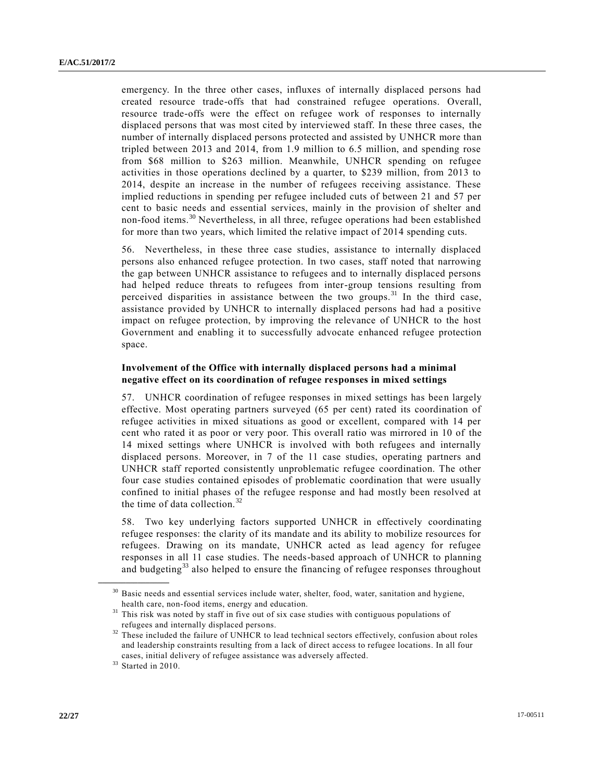emergency. In the three other cases, influxes of internally displaced persons had created resource trade-offs that had constrained refugee operations. Overall, resource trade-offs were the effect on refugee work of responses to internally displaced persons that was most cited by interviewed staff. In these three cases, the number of internally displaced persons protected and assisted by UNHCR more than tripled between 2013 and 2014, from 1.9 million to 6.5 million, and spending rose from \$68 million to \$263 million. Meanwhile, UNHCR spending on refugee activities in those operations declined by a quarter, to \$239 million, from 2013 to 2014, despite an increase in the number of refugees receiving assistance. These implied reductions in spending per refugee included cuts of between 21 and 57 per cent to basic needs and essential services, mainly in the provision of shelter and non-food items.<sup>30</sup> Nevertheless, in all three, refugee operations had been established for more than two years, which limited the relative impact of 2014 spending cuts.

56. Nevertheless, in these three case studies, assistance to internally displaced persons also enhanced refugee protection. In two cases, staff noted that narrowing the gap between UNHCR assistance to refugees and to internally displaced persons had helped reduce threats to refugees from inter-group tensions resulting from perceived disparities in assistance between the two groups.<sup>31</sup> In the third case, assistance provided by UNHCR to internally displaced persons had had a positive impact on refugee protection, by improving the relevance of UNHCR to the host Government and enabling it to successfully advocate enhanced refugee protection space.

#### **Involvement of the Office with internally displaced persons had a minimal negative effect on its coordination of refugee responses in mixed settings**

57. UNHCR coordination of refugee responses in mixed settings has been largely effective. Most operating partners surveyed (65 per cent) rated its coordination of refugee activities in mixed situations as good or excellent, compared with 14 per cent who rated it as poor or very poor. This overall ratio was mirrored in 10 of the 14 mixed settings where UNHCR is involved with both refugees and internally displaced persons. Moreover, in 7 of the 11 case studies, operating partners and UNHCR staff reported consistently unproblematic refugee coordination. The other four case studies contained episodes of problematic coordination that were usually confined to initial phases of the refugee response and had mostly been resolved at the time of data collection.<sup>32</sup>

58. Two key underlying factors supported UNHCR in effectively coordinating refugee responses: the clarity of its mandate and its ability to mobilize resources for refugees. Drawing on its mandate, UNHCR acted as lead agency for refugee responses in all 11 case studies. The needs-based approach of UNHCR to planning and budgeting<sup>33</sup> also helped to ensure the financing of refugee responses throughout

<sup>&</sup>lt;sup>30</sup> Basic needs and essential services include water, shelter, food, water, sanitation and hygiene, health care, non-food items, energy and education.

This risk was noted by staff in five out of six case studies with contiguous populations of refugees and internally displaced persons.

<sup>&</sup>lt;sup>32</sup> These included the failure of UNHCR to lead technical sectors effectively, confusion about roles and leadership constraints resulting from a lack of direct access to refugee locations. In all four cases, initial delivery of refugee assistance was adversely affected.

 $33$  Started in 2010.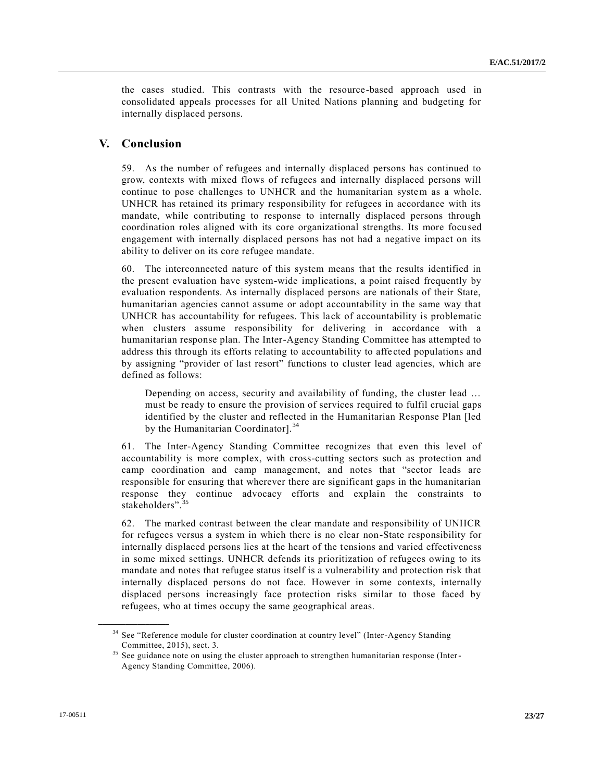the cases studied. This contrasts with the resource-based approach used in consolidated appeals processes for all United Nations planning and budgeting for internally displaced persons.

## **V. Conclusion**

59. As the number of refugees and internally displaced persons has continued to grow, contexts with mixed flows of refugees and internally displaced persons will continue to pose challenges to UNHCR and the humanitarian system as a whole. UNHCR has retained its primary responsibility for refugees in accordance with its mandate, while contributing to response to internally displaced persons through coordination roles aligned with its core organizational strengths. Its more focused engagement with internally displaced persons has not had a negative impact on its ability to deliver on its core refugee mandate.

60. The interconnected nature of this system means that the results identified in the present evaluation have system-wide implications, a point raised frequently by evaluation respondents. As internally displaced persons are nationals of their State, humanitarian agencies cannot assume or adopt accountability in the same way that UNHCR has accountability for refugees. This lack of accountability is problematic when clusters assume responsibility for delivering in accordance with a humanitarian response plan. The Inter-Agency Standing Committee has attempted to address this through its efforts relating to accountability to affe cted populations and by assigning "provider of last resort" functions to cluster lead agencies, which are defined as follows:

Depending on access, security and availability of funding, the cluster lead … must be ready to ensure the provision of services required to fulfil crucial gaps identified by the cluster and reflected in the Humanitarian Response Plan [led by the Humanitarian Coordinator]. $34$ 

61. The Inter-Agency Standing Committee recognizes that even this level of accountability is more complex, with cross-cutting sectors such as protection and camp coordination and camp management, and notes that "sector leads are responsible for ensuring that wherever there are significant gaps in the humanitarian response they continue advocacy efforts and explain the constraints to stakeholders".<sup>35</sup>

62. The marked contrast between the clear mandate and responsibility of UNHCR for refugees versus a system in which there is no clear non-State responsibility for internally displaced persons lies at the heart of the tensions and varied effectiveness in some mixed settings. UNHCR defends its prioritization of refugees owing to its mandate and notes that refugee status itself is a vulnerability and protection risk that internally displaced persons do not face. However in some contexts, internally displaced persons increasingly face protection risks similar to those faced by refugees, who at times occupy the same geographical areas.

<sup>&</sup>lt;sup>34</sup> See "Reference module for cluster coordination at country level" (Inter-Agency Standing Committee, 2015), sect. 3.

<sup>&</sup>lt;sup>35</sup> See guidance note on using the cluster approach to strengthen humanitarian response (Inter-Agency Standing Committee, 2006).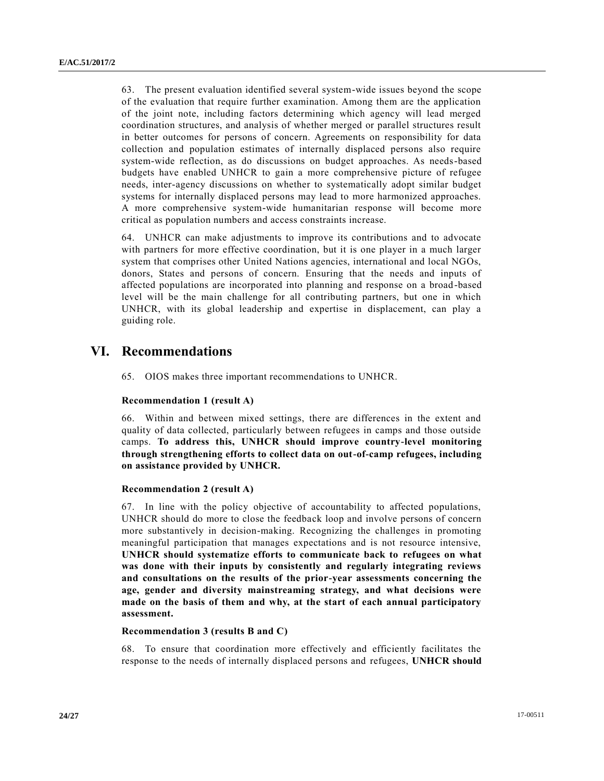63. The present evaluation identified several system-wide issues beyond the scope of the evaluation that require further examination. Among them are the application of the joint note, including factors determining which agency will lead merged coordination structures, and analysis of whether merged or parallel structures result in better outcomes for persons of concern. Agreements on responsibility for data collection and population estimates of internally displaced persons also require system-wide reflection, as do discussions on budget approaches. As needs-based budgets have enabled UNHCR to gain a more comprehensive picture of refugee needs, inter-agency discussions on whether to systematically adopt similar budget systems for internally displaced persons may lead to more harmonized approaches. A more comprehensive system-wide humanitarian response will become more critical as population numbers and access constraints increase.

64. UNHCR can make adjustments to improve its contributions and to advocate with partners for more effective coordination, but it is one player in a much larger system that comprises other United Nations agencies, international and local NGOs, donors, States and persons of concern. Ensuring that the needs and inputs of affected populations are incorporated into planning and response on a broad -based level will be the main challenge for all contributing partners, but one in which UNHCR, with its global leadership and expertise in displacement, can play a guiding role.

# **VI. Recommendations**

65. OIOS makes three important recommendations to UNHCR.

### **Recommendation 1 (result A)**

66. Within and between mixed settings, there are differences in the extent and quality of data collected, particularly between refugees in camps and those outside camps. **To address this, UNHCR should improve country-level monitoring through strengthening efforts to collect data on out-of-camp refugees, including on assistance provided by UNHCR.**

#### **Recommendation 2 (result A)**

67. In line with the policy objective of accountability to affected populations, UNHCR should do more to close the feedback loop and involve persons of concern more substantively in decision-making. Recognizing the challenges in promoting meaningful participation that manages expectations and is not resource intensive, **UNHCR should systematize efforts to communicate back to refugees on what was done with their inputs by consistently and regularly integrating reviews and consultations on the results of the prior-year assessments concerning the age, gender and diversity mainstreaming strategy, and what decisions were made on the basis of them and why, at the start of each annual participatory assessment.**

#### **Recommendation 3 (results B and C)**

68. To ensure that coordination more effectively and efficiently facilitates the response to the needs of internally displaced persons and refugees, **UNHCR should**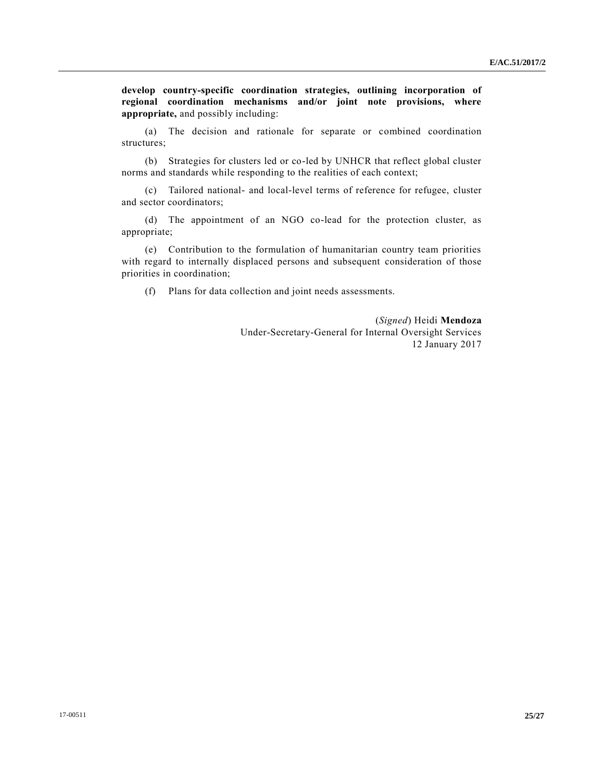**develop country-specific coordination strategies, outlining incorporation of regional coordination mechanisms and/or joint note provisions, where appropriate,** and possibly including:

(a) The decision and rationale for separate or combined coordination structures;

(b) Strategies for clusters led or co-led by UNHCR that reflect global cluster norms and standards while responding to the realities of each context;

(c) Tailored national- and local-level terms of reference for refugee, cluster and sector coordinators;

(d) The appointment of an NGO co-lead for the protection cluster, as appropriate;

(e) Contribution to the formulation of humanitarian country team priorities with regard to internally displaced persons and subsequent consideration of those priorities in coordination;

(f) Plans for data collection and joint needs assessments.

(*Signed*) Heidi **Mendoza** Under-Secretary-General for Internal Oversight Services 12 January 2017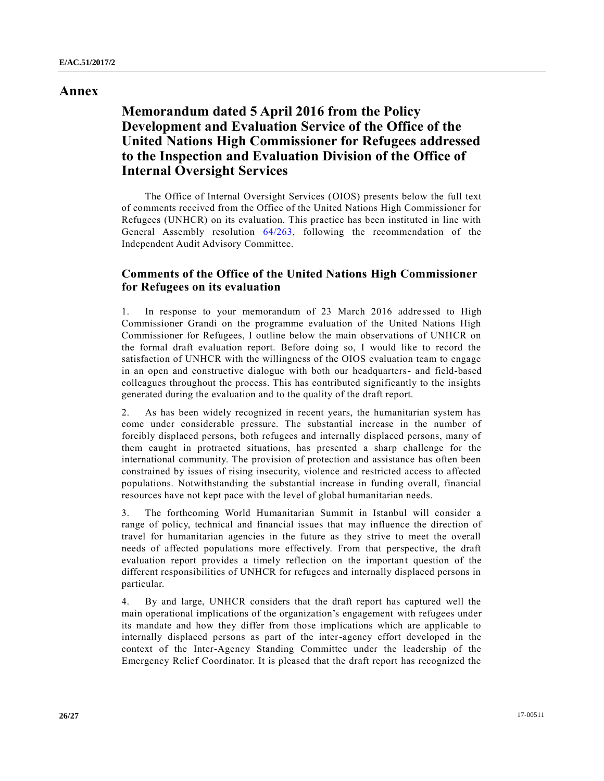## **Annex**

# **Memorandum dated 5 April 2016 from the Policy Development and Evaluation Service of the Office of the United Nations High Commissioner for Refugees addressed to the Inspection and Evaluation Division of the Office of Internal Oversight Services**

The Office of Internal Oversight Services (OIOS) presents below the full text of comments received from the Office of the United Nations High Commissioner for Refugees (UNHCR) on its evaluation. This practice has been instituted in line with General Assembly resolution [64/263,](http://undocs.org/A/RES/64/263) following the recommendation of the Independent Audit Advisory Committee.

## **Comments of the Office of the United Nations High Commissioner for Refugees on its evaluation**

1. In response to your memorandum of 23 March 2016 addressed to High Commissioner Grandi on the programme evaluation of the United Nations High Commissioner for Refugees, I outline below the main observations of UNHCR on the formal draft evaluation report. Before doing so, I would like to record the satisfaction of UNHCR with the willingness of the OIOS evaluation team to engage in an open and constructive dialogue with both our headquarters- and field-based colleagues throughout the process. This has contributed significantly to the insights generated during the evaluation and to the quality of the draft report.

2. As has been widely recognized in recent years, the humanitarian system has come under considerable pressure. The substantial increase in the number of forcibly displaced persons, both refugees and internally displaced persons, many of them caught in protracted situations, has presented a sharp challenge for the international community. The provision of protection and assistance has often been constrained by issues of rising insecurity, violence and restricted access to affected populations. Notwithstanding the substantial increase in funding overall, financial resources have not kept pace with the level of global humanitarian needs.

3. The forthcoming World Humanitarian Summit in Istanbul will consider a range of policy, technical and financial issues that may influence the direction of travel for humanitarian agencies in the future as they strive to meet the overall needs of affected populations more effectively. From that perspective, the draft evaluation report provides a timely reflection on the important question of the different responsibilities of UNHCR for refugees and internally displaced persons in particular.

4. By and large, UNHCR considers that the draft report has captured well the main operational implications of the organization's engagement with refugees under its mandate and how they differ from those implications which are applicable to internally displaced persons as part of the inter-agency effort developed in the context of the Inter-Agency Standing Committee under the leadership of the Emergency Relief Coordinator. It is pleased that the draft report has recognized the